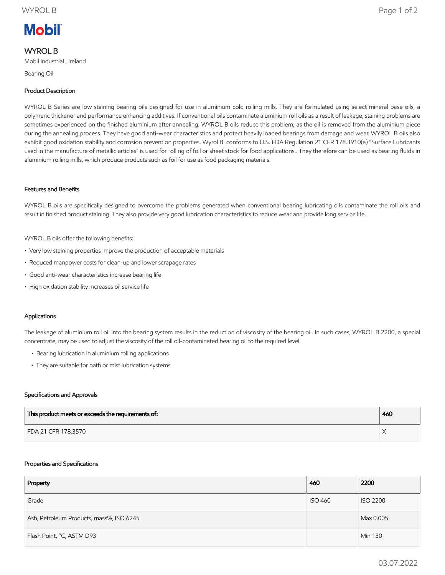# **Mobil**

# WYROL B

Mobil Industrial , Ireland

Bearing Oil

# Product Description

WYROL B Series are low staining bearing oils designed for use in aluminium cold rolling mills. They are formulated using select mineral base oils, a polymeric thickener and performance enhancing additives. If conventional oils contaminate aluminium roll oils as a result of leakage, staining problems are sometimes experienced on the finished aluminium after annealing. WYROL B oils reduce this problem, as the oil is removed from the aluminium piece during the annealing process. They have good anti-wear characteristics and protect heavily loaded bearings from damage and wear. WYROL B oils also exhibit good oxidation stability and corrosion prevention properties. Wyrol B conforms to U.S. FDA Regulation 21 CFR 178.3910(a) "Surface Lubricants used in the manufacture of metallic articles" is used for rolling of foil or sheet stock for food applications.. They therefore can be used as bearing fluids in aluminium rolling mills, which produce products such as foil for use as food packaging materials.

# Features and Benefits

WYROL B oils are specifically designed to overcome the problems generated when conventional bearing lubricating oils contaminate the roll oils and result in finished product staining. They also provide very good lubrication characteristics to reduce wear and provide long service life.

WYROL B oils offer the following benefits:

- Very low staining properties improve the production of acceptable materials
- Reduced manpower costs for clean-up and lower scrapage rates
- Good anti-wear characteristics increase bearing life
- High oxidation stability increases oil service life

# Applications

The leakage of aluminium roll oil into the bearing system results in the reduction of viscosity of the bearing oil. In such cases, WYROL B 2200, a special concentrate, may be used to adjust the viscosity of the roll oil-contaminated bearing oil to the required level.

- Bearing lubrication in aluminium rolling applications
- They are suitable for bath or mist lubrication systems

## Specifications and Approvals

| This product meets or exceeds the requirements of: | 460 |
|----------------------------------------------------|-----|
| FDA 21 CFR 178.3570                                |     |

#### Properties and Specifications

| Property                                 | 460            | 2200            |
|------------------------------------------|----------------|-----------------|
| Grade                                    | <b>ISO 460</b> | <b>ISO 2200</b> |
| Ash, Petroleum Products, mass%, ISO 6245 |                | Max 0.005       |
| Flash Point, °C, ASTM D93                |                | Min 130         |